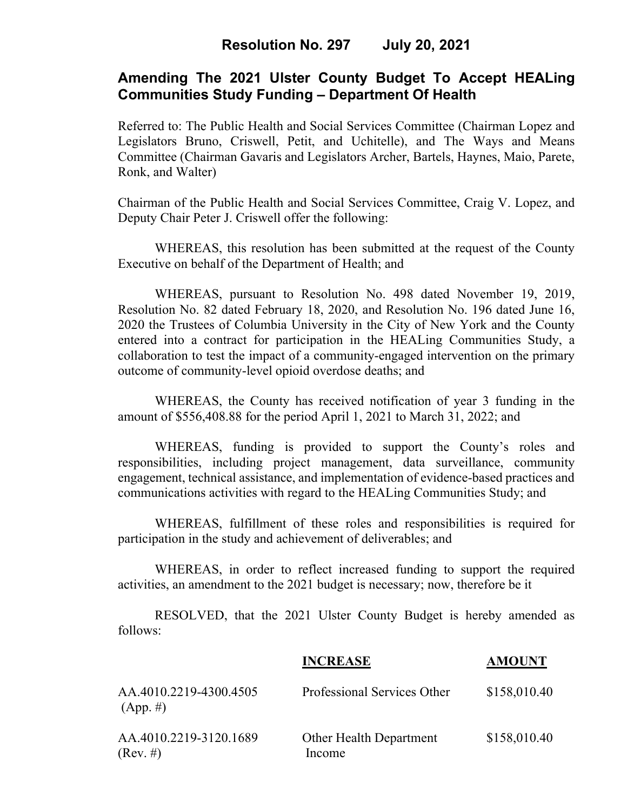## **Resolution No. 297 July 20, 2021**

## **Amending The 2021 Ulster County Budget To Accept HEALing Communities Study Funding – Department Of Health**

Referred to: The Public Health and Social Services Committee (Chairman Lopez and Legislators Bruno, Criswell, Petit, and Uchitelle), and The Ways and Means Committee (Chairman Gavaris and Legislators Archer, Bartels, Haynes, Maio, Parete, Ronk, and Walter)

Chairman of the Public Health and Social Services Committee, Craig V. Lopez, and Deputy Chair Peter J. Criswell offer the following:

WHEREAS, this resolution has been submitted at the request of the County Executive on behalf of the Department of Health; and

WHEREAS, pursuant to Resolution No. 498 dated November 19, 2019, Resolution No. 82 dated February 18, 2020, and Resolution No. 196 dated June 16, 2020 the Trustees of Columbia University in the City of New York and the County entered into a contract for participation in the HEALing Communities Study, a collaboration to test the impact of a community-engaged intervention on the primary outcome of community-level opioid overdose deaths; and

WHEREAS, the County has received notification of year 3 funding in the amount of \$556,408.88 for the period April 1, 2021 to March 31, 2022; and

WHEREAS, funding is provided to support the County's roles and responsibilities, including project management, data surveillance, community engagement, technical assistance, and implementation of evidence-based practices and communications activities with regard to the HEALing Communities Study; and

WHEREAS, fulfillment of these roles and responsibilities is required for participation in the study and achievement of deliverables; and

WHEREAS, in order to reflect increased funding to support the required activities, an amendment to the 2021 budget is necessary; now, therefore be it

RESOLVED, that the 2021 Ulster County Budget is hereby amended as follows:

|                                       | <b>INCREASE</b>                          | <b>AMOUNT</b> |
|---------------------------------------|------------------------------------------|---------------|
| AA.4010.2219-4300.4505<br>$(App. \#)$ | Professional Services Other              | \$158,010.40  |
| AA.4010.2219-3120.1689<br>(Rev. #)    | <b>Other Health Department</b><br>Income | \$158,010.40  |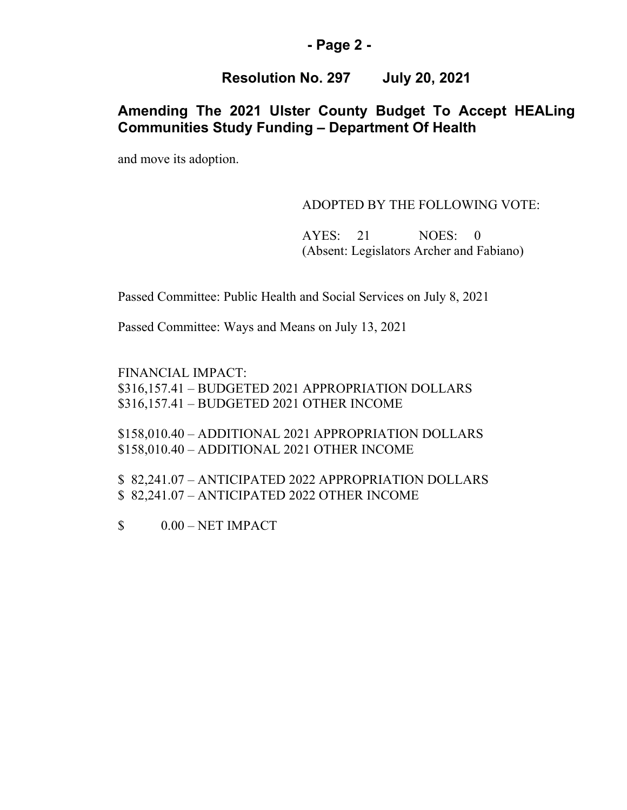#### **- Page 2 -**

### **Resolution No. 297 July 20, 2021**

## **Amending The 2021 Ulster County Budget To Accept HEALing Communities Study Funding – Department Of Health**

and move its adoption.

#### ADOPTED BY THE FOLLOWING VOTE:

AYES: 21 NOES: 0 (Absent: Legislators Archer and Fabiano)

Passed Committee: Public Health and Social Services on July 8, 2021

Passed Committee: Ways and Means on July 13, 2021

FINANCIAL IMPACT: \$316,157.41 – BUDGETED 2021 APPROPRIATION DOLLARS \$316,157.41 – BUDGETED 2021 OTHER INCOME

\$158,010.40 – ADDITIONAL 2021 APPROPRIATION DOLLARS \$158,010.40 – ADDITIONAL 2021 OTHER INCOME

\$ 82,241.07 – ANTICIPATED 2022 APPROPRIATION DOLLARS \$ 82,241.07 – ANTICIPATED 2022 OTHER INCOME

 $$$  0.00 – NET IMPACT